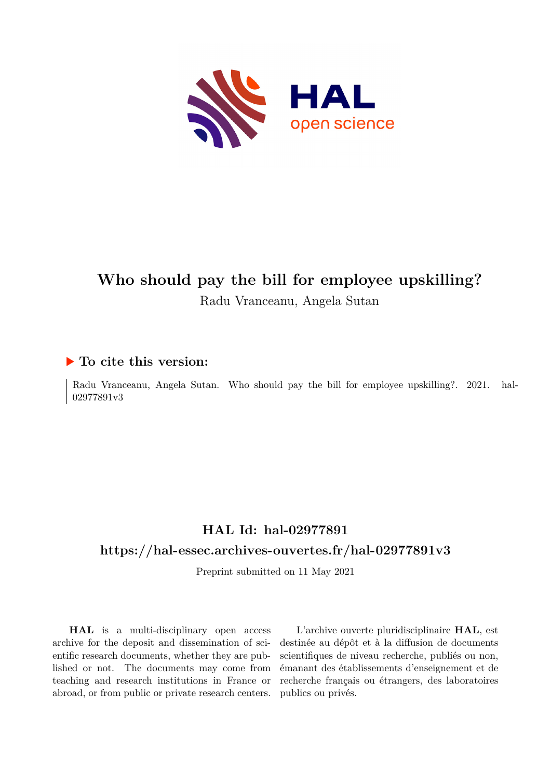

# **Who should pay the bill for employee upskilling?** Radu Vranceanu, Angela Sutan

# **To cite this version:**

Radu Vranceanu, Angela Sutan. Who should pay the bill for employee upskilling?. 2021. hal-02977891v3

# **HAL Id: hal-02977891 <https://hal-essec.archives-ouvertes.fr/hal-02977891v3>**

Preprint submitted on 11 May 2021

**HAL** is a multi-disciplinary open access archive for the deposit and dissemination of scientific research documents, whether they are published or not. The documents may come from teaching and research institutions in France or abroad, or from public or private research centers.

L'archive ouverte pluridisciplinaire **HAL**, est destinée au dépôt et à la diffusion de documents scientifiques de niveau recherche, publiés ou non, émanant des établissements d'enseignement et de recherche français ou étrangers, des laboratoires publics ou privés.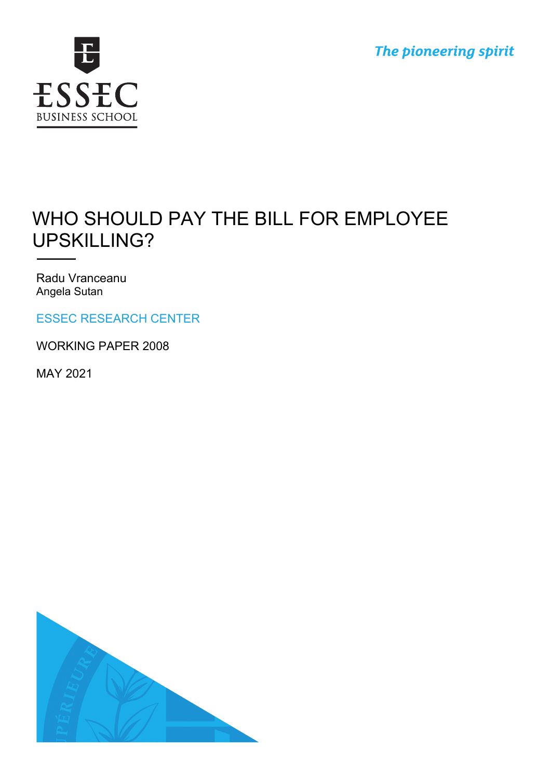



# WHO SHOULD PAY THE BILL FOR EMPLOYEE UPSKILLING?

Radu Vranceanu Angela Sutan

ESSEC RESEARCH CENTER

WORKING PAPER 2008

MAY 2021

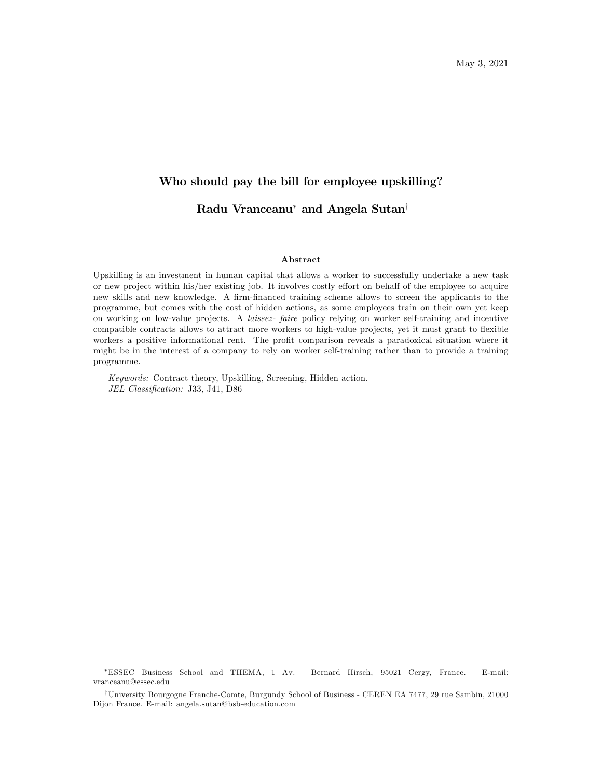# Who should pay the bill for employee upskilling? Radu Vranceanu<sup>\*</sup> and Angela Sutan<sup>†</sup>

#### Abstract

Upskilling is an investment in human capital that allows a worker to successfully undertake a new task or new project within his/her existing job. It involves costly effort on behalf of the employee to acquire new skills and new knowledge. A firm-financed training scheme allows to screen the applicants to the programme, but comes with the cost of hidden actions, as some employees train on their own yet keep on working on low-value projects. A laissez- faire policy relying on worker self-training and incentive compatible contracts allows to attract more workers to high-value projects, yet it must grant to flexible workers a positive informational rent. The profit comparison reveals a paradoxical situation where it might be in the interest of a company to rely on worker self-training rather than to provide a training programme.

Keywords: Contract theory, Upskilling, Screening, Hidden action. JEL Classification: J33, J41, D86

ESSEC Business School and THEMA, 1 Av. Bernard Hirsch, 95021 Cergy, France. E-mail: vranceanu@essec.edu

<sup>&</sup>lt;sup>†</sup>University Bourgogne Franche-Comte, Burgundy School of Business - CEREN EA 7477, 29 rue Sambin, 21000 Dijon France. E-mail: angela.sutan@bsb-education.com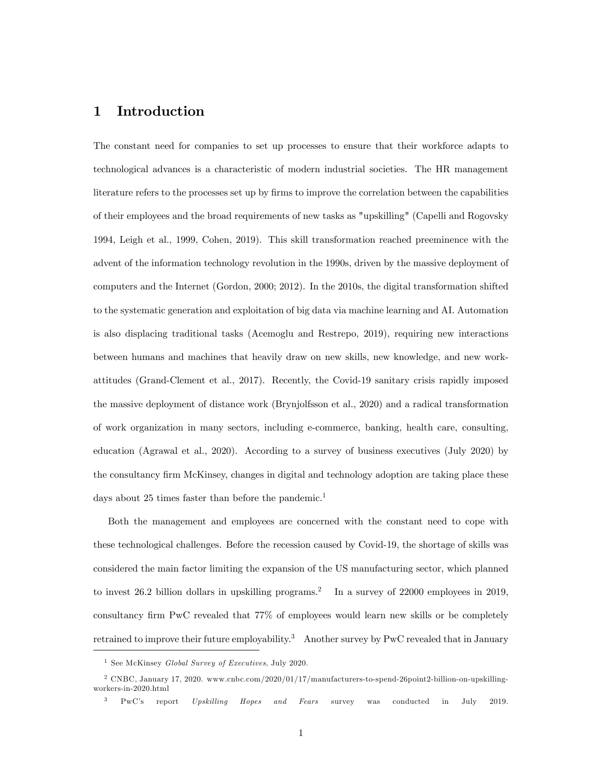# 1 Introduction

The constant need for companies to set up processes to ensure that their workforce adapts to technological advances is a characteristic of modern industrial societies. The HR management literature refers to the processes set up by firms to improve the correlation between the capabilities of their employees and the broad requirements of new tasks as "upskilling" (Capelli and Rogovsky 1994, Leigh et al., 1999, Cohen, 2019). This skill transformation reached preeminence with the advent of the information technology revolution in the 1990s, driven by the massive deployment of computers and the Internet (Gordon, 2000; 2012). In the 2010s, the digital transformation shifted to the systematic generation and exploitation of big data via machine learning and AI. Automation is also displacing traditional tasks (Acemoglu and Restrepo, 2019), requiring new interactions between humans and machines that heavily draw on new skills, new knowledge, and new workattitudes (Grand-Clement et al., 2017). Recently, the Covid-19 sanitary crisis rapidly imposed the massive deployment of distance work (Brynjolfsson et al., 2020) and a radical transformation of work organization in many sectors, including e-commerce, banking, health care, consulting, education (Agrawal et al., 2020). According to a survey of business executives (July 2020) by the consultancy firm McKinsey, changes in digital and technology adoption are taking place these days about 25 times faster than before the pandemic.<sup>1</sup>

Both the management and employees are concerned with the constant need to cope with these technological challenges. Before the recession caused by Covid-19, the shortage of skills was considered the main factor limiting the expansion of the US manufacturing sector, which planned to invest 26.2 billion dollars in upskilling programs.<sup>2</sup> In a survey of 22000 employees in 2019, consultancy firm PwC revealed that 77% of employees would learn new skills or be completely retrained to improve their future employability.<sup>3</sup> Another survey by PwC revealed that in January

<sup>&</sup>lt;sup>1</sup> See McKinsey *Global Survey of Executives*, July 2020.

<sup>2</sup> CNBC, January 17, 2020. www.cnbc.com/2020/01/17/manufacturers-to-spend-26point2-billion-on-upskillingworkers-in-2020.html

PwC's report Upskilling Hopes and Fears survey was conducted in July 2019.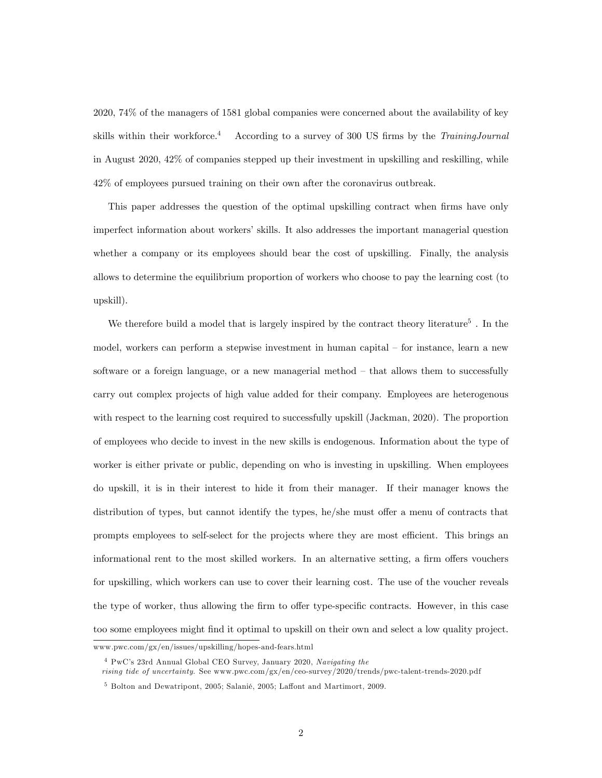2020, 74% of the managers of 1581 global companies were concerned about the availability of key skills within their workforce.<sup>4</sup> According to a survey of 300 US firms by the TrainingJournal in August 2020, 42% of companies stepped up their investment in upskilling and reskilling, while 42% of employees pursued training on their own after the coronavirus outbreak.

This paper addresses the question of the optimal upskilling contract when firms have only imperfect information about workers' skills. It also addresses the important managerial question whether a company or its employees should bear the cost of upskilling. Finally, the analysis allows to determine the equilibrium proportion of workers who choose to pay the learning cost (to upskill).

We therefore build a model that is largely inspired by the contract theory literature<sup>5</sup>. In the model, workers can perform a stepwise investment in human capital  $-$  for instance, learn a new software or a foreign language, or a new managerial method  $-$  that allows them to successfully carry out complex projects of high value added for their company. Employees are heterogenous with respect to the learning cost required to successfully upskill (Jackman, 2020). The proportion of employees who decide to invest in the new skills is endogenous. Information about the type of worker is either private or public, depending on who is investing in upskilling. When employees do upskill, it is in their interest to hide it from their manager. If their manager knows the distribution of types, but cannot identify the types, he/she must offer a menu of contracts that prompts employees to self-select for the projects where they are most efficient. This brings an informational rent to the most skilled workers. In an alternative setting, a firm offers vouchers for upskilling, which workers can use to cover their learning cost. The use of the voucher reveals the type of worker, thus allowing the firm to offer type-specific contracts. However, in this case too some employees might Önd it optimal to upskill on their own and select a low quality project.

www.pwc.com/gx/en/issues/upskilling/hopes-and-fears.html

<sup>4</sup> PwCís 23rd Annual Global CEO Survey, January 2020, Navigating the rising tide of uncertainty. See www.pwc.com/gx/en/ceo-survey/2020/trends/pwc-talent-trends-2020.pdf

 $5$  Bolton and Dewatripont, 2005; Salanié, 2005; Laffont and Martimort, 2009.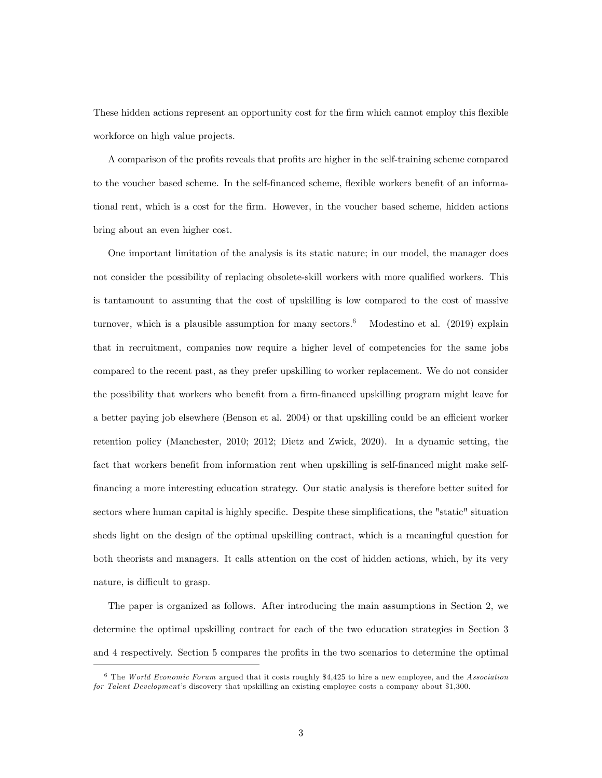These hidden actions represent an opportunity cost for the firm which cannot employ this flexible workforce on high value projects.

A comparison of the profits reveals that profits are higher in the self-training scheme compared to the voucher based scheme. In the self-financed scheme, flexible workers benefit of an informational rent, which is a cost for the Örm. However, in the voucher based scheme, hidden actions bring about an even higher cost.

One important limitation of the analysis is its static nature; in our model, the manager does not consider the possibility of replacing obsolete-skill workers with more qualified workers. This is tantamount to assuming that the cost of upskilling is low compared to the cost of massive turnover, which is a plausible assumption for many sectors.<sup>6</sup> Modestino et al. (2019) explain that in recruitment, companies now require a higher level of competencies for the same jobs compared to the recent past, as they prefer upskilling to worker replacement. We do not consider the possibility that workers who benefit from a firm-financed upskilling program might leave for a better paying job elsewhere (Benson et al. 2004) or that upskilling could be an efficient worker retention policy (Manchester, 2010; 2012; Dietz and Zwick, 2020). In a dynamic setting, the fact that workers benefit from information rent when upskilling is self-financed might make self-Önancing a more interesting education strategy. Our static analysis is therefore better suited for sectors where human capital is highly specific. Despite these simplifications, the "static" situation sheds light on the design of the optimal upskilling contract, which is a meaningful question for both theorists and managers. It calls attention on the cost of hidden actions, which, by its very nature, is difficult to grasp.

The paper is organized as follows. After introducing the main assumptions in Section 2, we determine the optimal upskilling contract for each of the two education strategies in Section 3 and 4 respectively. Section 5 compares the profits in the two scenarios to determine the optimal

 $6$  The World Economic Forum argued that it costs roughly \$4,425 to hire a new employee, and the Association for Talent Development's discovery that upskilling an existing employee costs a company about \$1,300.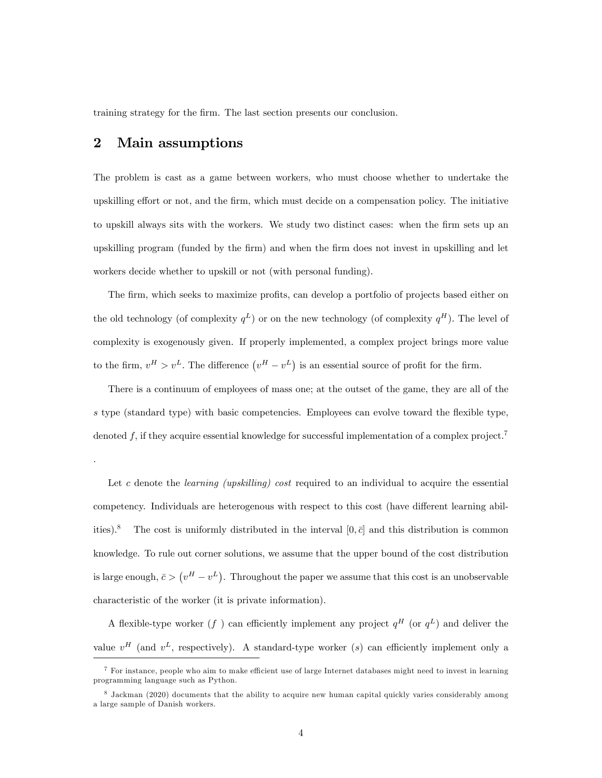training strategy for the firm. The last section presents our conclusion.

# 2 Main assumptions

.

The problem is cast as a game between workers, who must choose whether to undertake the upskilling effort or not, and the firm, which must decide on a compensation policy. The initiative to upskill always sits with the workers. We study two distinct cases: when the firm sets up an upskilling program (funded by the Örm) and when the Örm does not invest in upskilling and let workers decide whether to upskill or not (with personal funding).

The firm, which seeks to maximize profits, can develop a portfolio of projects based either on the old technology (of complexity  $q^L$ ) or on the new technology (of complexity  $q^H$ ). The level of complexity is exogenously given. If properly implemented, a complex project brings more value to the firm,  $v^H > v^L$ . The difference  $(v^H - v^L)$  is an essential source of profit for the firm.

There is a continuum of employees of mass one; at the outset of the game, they are all of the s type (standard type) with basic competencies. Employees can evolve toward the flexible type, denoted  $f$ , if they acquire essential knowledge for successful implementation of a complex project.<sup>7</sup>

Let  $c$  denote the *learning (upskilling)* cost required to an individual to acquire the essential competency. Individuals are heterogenous with respect to this cost (have different learning abilities).<sup>8</sup> The cost is uniformly distributed in the interval  $[0, \bar{c}]$  and this distribution is common knowledge. To rule out corner solutions, we assume that the upper bound of the cost distribution is large enough,  $\bar{c} > (v^H - v^L)$ . Throughout the paper we assume that this cost is an unobservable characteristic of the worker (it is private information).

A flexible-type worker  $(f)$  can efficiently implement any project  $q^H$  (or  $q^L$ ) and deliver the value  $v^H$  (and  $v^L$ , respectively). A standard-type worker (s) can efficiently implement only a

 $7$  For instance, people who aim to make efficient use of large Internet databases might need to invest in learning programming language such as Python.

<sup>&</sup>lt;sup>8</sup> Jackman (2020) documents that the ability to acquire new human capital quickly varies considerably among a large sample of Danish workers.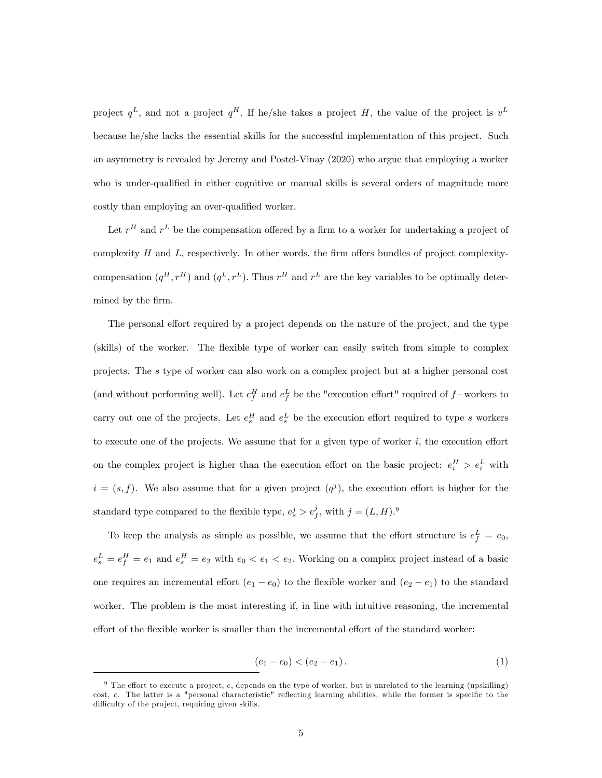project  $q^L$ , and not a project  $q^H$ . If he/she takes a project H, the value of the project is  $v^L$ because he/she lacks the essential skills for the successful implementation of this project. Such an asymmetry is revealed by Jeremy and Postel-Vinay (2020) who argue that employing a worker who is under-qualified in either cognitive or manual skills is several orders of magnitude more costly than employing an over-qualified worker.

Let  $r^H$  and  $r^L$  be the compensation offered by a firm to a worker for undertaking a project of complexity  $H$  and  $L$ , respectively. In other words, the firm offers bundles of project complexitycompensation  $(q^H, r^H)$  and  $(q^L, r^L)$ . Thus  $r^H$  and  $r^L$  are the key variables to be optimally determined by the firm.

The personal effort required by a project depends on the nature of the project, and the type (skills) of the worker. The áexible type of worker can easily switch from simple to complex projects. The s type of worker can also work on a complex project but at a higher personal cost (and without performing well). Let  $e_f^H$  and  $e_f^L$  be the "execution effort" required of  $f$ -workers to carry out one of the projects. Let  $e_s^H$  and  $e_s^L$  be the execution effort required to type s workers to execute one of the projects. We assume that for a given type of worker  $i$ , the execution effort on the complex project is higher than the execution effort on the basic project:  $e_i^H > e_i^L$  with  $i = (s, f)$ . We also assume that for a given project  $(q<sup>j</sup>)$ , the execution effort is higher for the standard type compared to the flexible type,  $e_s^j > e_f^j$ , with  $j = (L, H)$ .<sup>9</sup>

To keep the analysis as simple as possible, we assume that the effort structure is  $e_f^L = e_0$ ,  $e_s^L = e_f^H = e_1$  and  $e_s^H = e_2$  with  $e_0 < e_1 < e_2$ . Working on a complex project instead of a basic one requires an incremental effort  $(e_1 - e_0)$  to the flexible worker and  $(e_2 - e_1)$  to the standard worker. The problem is the most interesting if, in line with intuitive reasoning, the incremental effort of the flexible worker is smaller than the incremental effort of the standard worker:

$$
(e_1 - e_0) < (e_2 - e_1). \tag{1}
$$

 $9$  The effort to execute a project, e, depends on the type of worker, but is unrelated to the learning (upskilling) cost, c. The latter is a "personal characteristic" reflecting learning abilities, while the former is specific to the difficulty of the project, requiring given skills.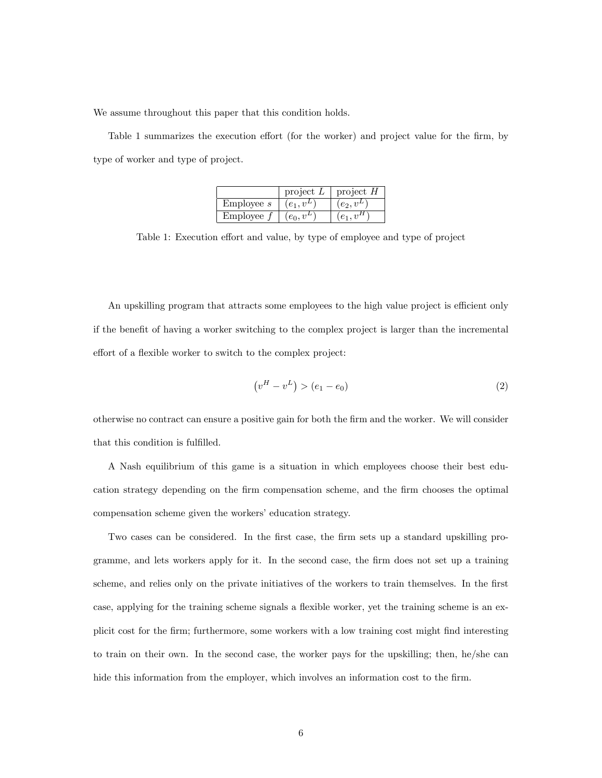We assume throughout this paper that this condition holds.

Table 1 summarizes the execution effort (for the worker) and project value for the firm, by type of worker and type of project.

|            | project $L$  | project $H$ |
|------------|--------------|-------------|
| Emplovee s | $(e_1, v^L)$ | $(e_2,v^L)$ |
| Employee   | $(e_0, v^L)$ |             |

Table 1: Execution effort and value, by type of employee and type of project

An upskilling program that attracts some employees to the high value project is efficient only if the benefit of having a worker switching to the complex project is larger than the incremental effort of a flexible worker to switch to the complex project:

$$
(v^H - v^L) > (e_1 - e_0)
$$
\n(2)

otherwise no contract can ensure a positive gain for both the Örm and the worker. We will consider that this condition is fulfilled.

A Nash equilibrium of this game is a situation in which employees choose their best education strategy depending on the Örm compensation scheme, and the Örm chooses the optimal compensation scheme given the workers' education strategy.

Two cases can be considered. In the first case, the firm sets up a standard upskilling programme, and lets workers apply for it. In the second case, the Örm does not set up a training scheme, and relies only on the private initiatives of the workers to train themselves. In the first case, applying for the training scheme signals a flexible worker, yet the training scheme is an explicit cost for the Örm; furthermore, some workers with a low training cost might Önd interesting to train on their own. In the second case, the worker pays for the upskilling; then, he/she can hide this information from the employer, which involves an information cost to the firm.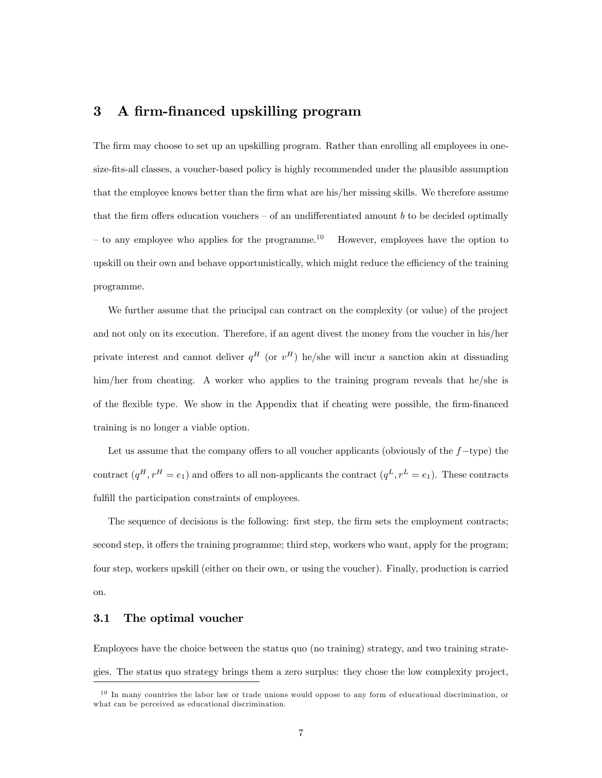# 3 A firm-financed upskilling program

The firm may choose to set up an upskilling program. Rather than enrolling all employees in onesize-Öts-all classes, a voucher-based policy is highly recommended under the plausible assumption that the employee knows better than the firm what are his/her missing skills. We therefore assume that the firm offers education vouchers  $-$  of an undifferentiated amount b to be decided optimally  $-$  to any employee who applies for the programme.<sup>10</sup> However, employees have the option to upskill on their own and behave opportunistically, which might reduce the efficiency of the training programme.

We further assume that the principal can contract on the complexity (or value) of the project and not only on its execution. Therefore, if an agent divest the money from the voucher in his/her private interest and cannot deliver  $q^H$  (or  $v^H$ ) he/she will incur a sanction akin at dissuading him/her from cheating. A worker who applies to the training program reveals that he/she is of the flexible type. We show in the Appendix that if cheating were possible, the firm-financed training is no longer a viable option.

Let us assume that the company offers to all voucher applicants (obviously of the  $f$ -type) the contract  $(q^H, r^H = e_1)$  and offers to all non-applicants the contract  $(q^L, r^L = e_1)$ . These contracts fulfill the participation constraints of employees.

The sequence of decisions is the following: first step, the firm sets the employment contracts; second step, it offers the training programme; third step, workers who want, apply for the program; four step, workers upskill (either on their own, or using the voucher). Finally, production is carried on.

#### 3.1 The optimal voucher

Employees have the choice between the status quo (no training) strategy, and two training strategies. The status quo strategy brings them a zero surplus: they chose the low complexity project,

<sup>&</sup>lt;sup>10</sup> In many countries the labor law or trade unions would oppose to any form of educational discrimination, or what can be perceived as educational discrimination.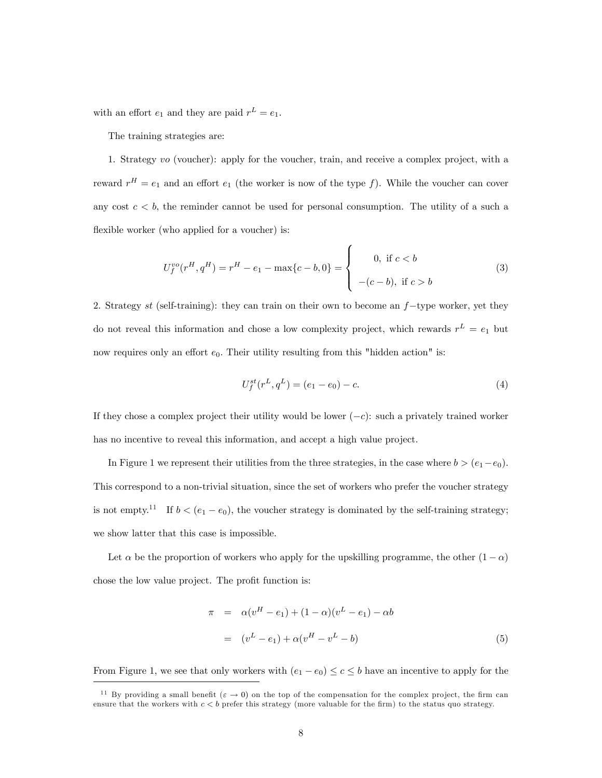with an effort  $e_1$  and they are paid  $r^L = e_1$ .

The training strategies are:

1. Strategy vo (voucher): apply for the voucher, train, and receive a complex project, with a reward  $r^H = e_1$  and an effort  $e_1$  (the worker is now of the type f). While the voucher can cover any cost  $c < b$ , the reminder cannot be used for personal consumption. The utility of a such a flexible worker (who applied for a voucher) is:

$$
U_f^{vo}(r^H, q^H) = r^H - e_1 - \max\{c - b, 0\} = \begin{cases} 0, & \text{if } c < b \\ -(c - b), & \text{if } c > b \end{cases}
$$
 (3)

2. Strategy st (self-training): they can train on their own to become an  $f$ -type worker, yet they do not reveal this information and chose a low complexity project, which rewards  $r^L = e_1$  but now requires only an effort  $e_0$ . Their utility resulting from this "hidden action" is:

$$
U_f^{st}(r^L, q^L) = (e_1 - e_0) - c.
$$
\n(4)

If they chose a complex project their utility would be lower  $(-c)$ : such a privately trained worker has no incentive to reveal this information, and accept a high value project.

In Figure 1 we represent their utilities from the three strategies, in the case where  $b > (e_1 - e_0)$ . This correspond to a non-trivial situation, since the set of workers who prefer the voucher strategy is not empty.<sup>11</sup> If  $b < (e_1 - e_0)$ , the voucher strategy is dominated by the self-training strategy; we show latter that this case is impossible.

Let  $\alpha$  be the proportion of workers who apply for the upskilling programme, the other  $(1 - \alpha)$ chose the low value project. The profit function is:

$$
\pi = \alpha (v^H - e_1) + (1 - \alpha)(v^L - e_1) - \alpha b
$$
  
=  $(v^L - e_1) + \alpha (v^H - v^L - b)$  (5)

From Figure 1, we see that only workers with  $(e_1 - e_0) \le c \le b$  have an incentive to apply for the

<sup>&</sup>lt;sup>11</sup> By providing a small benefit ( $\varepsilon \to 0$ ) on the top of the compensation for the complex project, the firm can ensure that the workers with  $c < b$  prefer this strategy (more valuable for the firm) to the status quo strategy.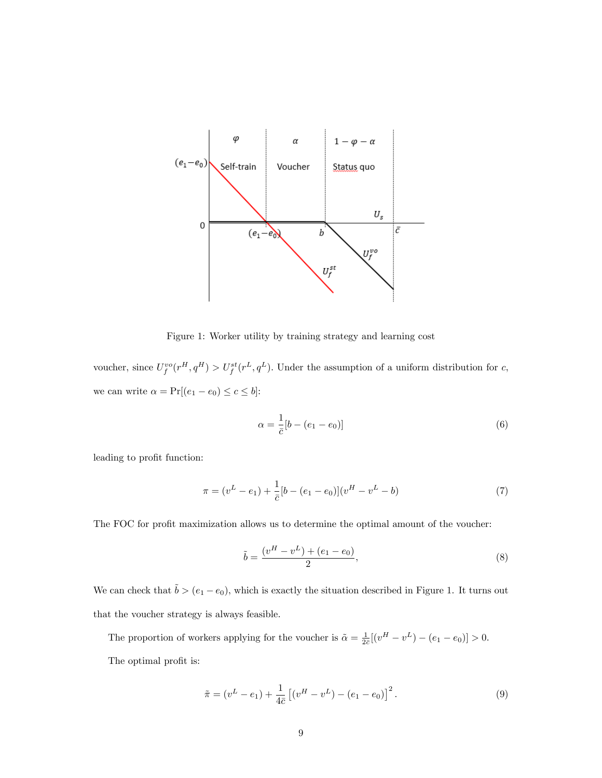

Figure 1: Worker utility by training strategy and learning cost

voucher, since  $U_f^{vo}(r^H, q^H) > U_f^{st}(r^L, q^L)$ . Under the assumption of a uniform distribution for c, we can write  $\alpha = \Pr[(e_1 - e_0) \leq c \leq b]$ :

$$
\alpha = \frac{1}{\bar{c}} [b - (e_1 - e_0)] \tag{6}
$$

leading to profit function:

$$
\pi = (v^L - e_1) + \frac{1}{c} [b - (e_1 - e_0)] (v^H - v^L - b)
$$
\n(7)

The FOC for profit maximization allows us to determine the optimal amount of the voucher:

$$
\tilde{b} = \frac{(v^H - v^L) + (e_1 - e_0)}{2},\tag{8}
$$

We can check that  $\tilde{b} > (e_1 - e_0)$ , which is exactly the situation described in Figure 1. It turns out that the voucher strategy is always feasible.

The proportion of workers applying for the voucher is  $\tilde{\alpha} = \frac{1}{2\bar{c}}[(v^H - v^L) - (e_1 - e_0)] > 0.$ 

The optimal profit is:

$$
\tilde{\pi} = (v^L - e_1) + \frac{1}{4\bar{c}} \left[ (v^H - v^L) - (e_1 - e_0) \right]^2.
$$
\n(9)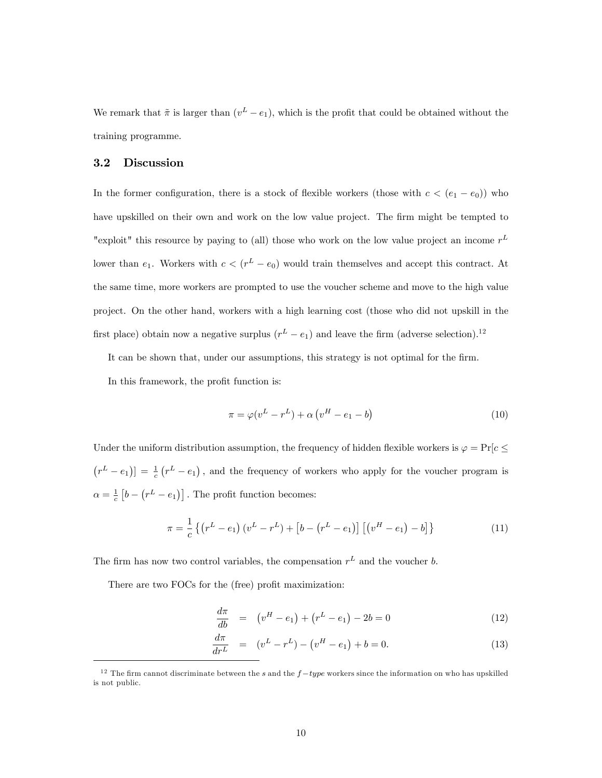We remark that  $\tilde{\pi}$  is larger than  $(v^L - e_1)$ , which is the profit that could be obtained without the training programme.

#### 3.2 Discussion

In the former configuration, there is a stock of flexible workers (those with  $c < (e_1 - e_0)$ ) who have upskilled on their own and work on the low value project. The firm might be tempted to "exploit" this resource by paying to (all) those who work on the low value project an income  $r<sup>L</sup>$ lower than  $e_1$ . Workers with  $c < (r^L - e_0)$  would train themselves and accept this contract. At the same time, more workers are prompted to use the voucher scheme and move to the high value project. On the other hand, workers with a high learning cost (those who did not upskill in the first place) obtain now a negative surplus  $(r^L - e_1)$  and leave the firm (adverse selection).<sup>12</sup>

It can be shown that, under our assumptions, this strategy is not optimal for the firm.

In this framework, the profit function is:

$$
\pi = \varphi(v^L - r^L) + \alpha \left(v^H - e_1 - b\right) \tag{10}
$$

Under the uniform distribution assumption, the frequency of hidden flexible workers is  $\varphi = \Pr[c \leq \varphi]$  $(r^L - e_1)$  =  $\frac{1}{c} (r^L - e_1)$ , and the frequency of workers who apply for the voucher program is  $\alpha = \frac{1}{c} \left[ b - (r^L - e_1) \right]$ . The profit function becomes:

$$
\pi = \frac{1}{c} \left\{ \left( r^L - e_1 \right) \left( v^L - r^L \right) + \left[ b - \left( r^L - e_1 \right) \right] \left[ \left( v^H - e_1 \right) - b \right] \right\} \tag{11}
$$

The firm has now two control variables, the compensation  $r<sup>L</sup>$  and the voucher b.

There are two FOCs for the (free) profit maximization:

$$
\frac{d\pi}{db} = (v^H - e_1) + (r^L - e_1) - 2b = 0 \tag{12}
$$

$$
\frac{d\pi}{dr^L} = (v^L - r^L) - (v^H - e_1) + b = 0.
$$
\n(13)

<sup>&</sup>lt;sup>12</sup> The firm cannot discriminate between the s and the  $f-type$  workers since the information on who has upskilled is not public.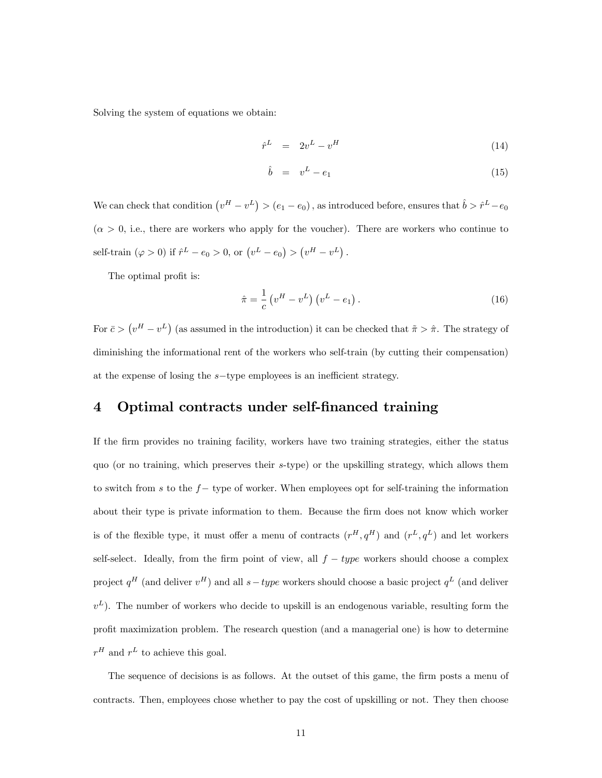Solving the system of equations we obtain:

$$
\hat{r}^L = 2v^L - v^H \tag{14}
$$

$$
\hat{b} = v^L - e_1 \tag{15}
$$

We can check that condition  $(v^H - v^L) > (e_1 - e_0)$ , as introduced before, ensures that  $\hat{b} > \hat{r}^L - e_0$  $(\alpha > 0, i.e.,$  there are workers who apply for the voucher). There are workers who continue to self-train  $(\varphi > 0)$  if  $\hat{r}^L - e_0 > 0$ , or  $(v^L - e_0) > (v^H - v^L)$ .

The optimal profit is:

$$
\hat{\pi} = \frac{1}{c} \left( v^H - v^L \right) \left( v^L - e_1 \right). \tag{16}
$$

For  $\bar{c} > (v^H - v^L)$  (as assumed in the introduction) it can be checked that  $\tilde{\pi} > \hat{\pi}$ . The strategy of diminishing the informational rent of the workers who self-train (by cutting their compensation) at the expense of losing the  $s$ -type employees is an inefficient strategy.

# 4 Optimal contracts under self-financed training

If the firm provides no training facility, workers have two training strategies, either the status quo (or no training, which preserves their s-type) or the upskilling strategy, which allows them to switch from s to the  $f-$  type of worker. When employees opt for self-training the information about their type is private information to them. Because the firm does not know which worker is of the flexible type, it must offer a menu of contracts  $(r^H, q^H)$  and  $(r^L, q^L)$  and let workers self-select. Ideally, from the firm point of view, all  $f - type$  workers should choose a complex project  $q^H$  (and deliver  $v^H$ ) and all  $s-type$  workers should choose a basic project  $q^L$  (and deliver  $(v<sup>L</sup>)$ . The number of workers who decide to upskill is an endogenous variable, resulting form the profit maximization problem. The research question (and a managerial one) is how to determine  $r^H$  and  $r^L$  to achieve this goal.

The sequence of decisions is as follows. At the outset of this game, the firm posts a menu of contracts. Then, employees chose whether to pay the cost of upskilling or not. They then choose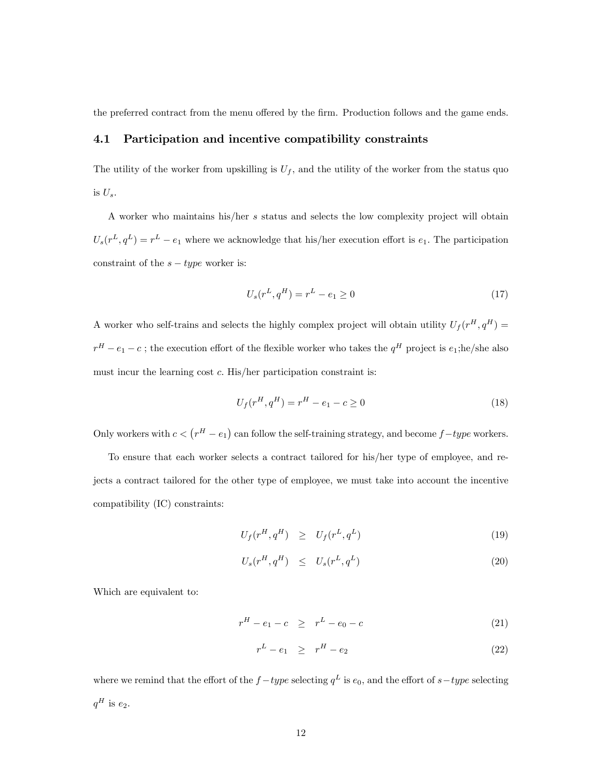the preferred contract from the menu offered by the firm. Production follows and the game ends.

#### 4.1 Participation and incentive compatibility constraints

The utility of the worker from upskilling is  $U_f$ , and the utility of the worker from the status quo is  $U_s$ .

A worker who maintains his/her s status and selects the low complexity project will obtain  $U_s(r^L, q^L) = r^L - e_1$  where we acknowledge that his/her execution effort is  $e_1$ . The participation constraint of the  $s - type$  worker is:

$$
U_s(r^L, q^H) = r^L - e_1 \ge 0
$$
\n(17)

A worker who self-trains and selects the highly complex project will obtain utility  $U_f(r^H, q^H)$  =  $r^H - e_1 - c$ ; the execution effort of the flexible worker who takes the  $q^H$  project is  $e_1$ ; he/she also must incur the learning cost  $c$ . His/her participation constraint is:

$$
U_f(r^H, q^H) = r^H - e_1 - c \ge 0
$$
\n(18)

Only workers with  $c < (r<sup>H</sup> - e<sub>1</sub>)$  can follow the self-training strategy, and become  $f - type$  workers.

To ensure that each worker selects a contract tailored for his/her type of employee, and rejects a contract tailored for the other type of employee, we must take into account the incentive compatibility (IC) constraints:

$$
U_f(r^H, q^H) \geq U_f(r^L, q^L) \tag{19}
$$

$$
U_s(r^H, q^H) \leq U_s(r^L, q^L) \tag{20}
$$

Which are equivalent to:

$$
r^H - e_1 - c \geq r^L - e_0 - c \tag{21}
$$

$$
r^L - e_1 \geq r^H - e_2 \tag{22}
$$

where we remind that the effort of the  $f-type$  selecting  $q^L$  is  $e_0$ , and the effort of  $s-type$  selecting  $q^H$  is  $e_2$ .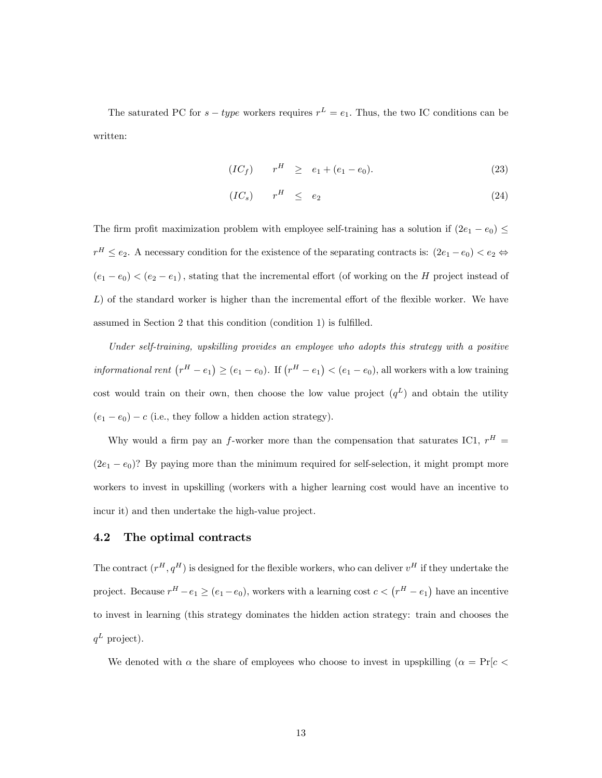The saturated PC for  $s - type$  workers requires  $r^L = e_1$ . Thus, the two IC conditions can be written:

$$
(IC_f) \t rH \ge e_1 + (e_1 - e_0). \t (23)
$$

$$
(IC_s) \qquad r^H \le e_2 \tag{24}
$$

The firm profit maximization problem with employee self-training has a solution if  $(2e_1 - e_0) \leq$  $r^H \le e_2$ . A necessary condition for the existence of the separating contracts is:  $(2e_1 - e_0) < e_2 \Leftrightarrow$  $(e_1 - e_0) < (e_2 - e_1)$ , stating that the incremental effort (of working on the H project instead of  $L$ ) of the standard worker is higher than the incremental effort of the flexible worker. We have assumed in Section 2 that this condition (condition  $1$ ) is fulfilled.

Under self-training, upskilling provides an employee who adopts this strategy with a positive informational rent  $(r^H - e_1) \ge (e_1 - e_0)$ . If  $(r^H - e_1) < (e_1 - e_0)$ , all workers with a low training cost would train on their own, then choose the low value project  $(q^L)$  and obtain the utility  $(e_1 - e_0) - c$  (i.e., they follow a hidden action strategy).

Why would a firm pay an f-worker more than the compensation that saturates IC1,  $r^H$  =  $(2e_1 - e_0)$ ? By paying more than the minimum required for self-selection, it might prompt more workers to invest in upskilling (workers with a higher learning cost would have an incentive to incur it) and then undertake the high-value project.

#### 4.2 The optimal contracts

The contract  $(r^H, q^H)$  is designed for the flexible workers, who can deliver  $v^H$  if they undertake the project. Because  $r^H - e_1 \ge (e_1 - e_0)$ , workers with a learning cost  $c < (r^H - e_1)$  have an incentive to invest in learning (this strategy dominates the hidden action strategy: train and chooses the  $q^L$  project).

We denoted with  $\alpha$  the share of employees who choose to invest in upspkilling  $(\alpha = Pr[c \leq$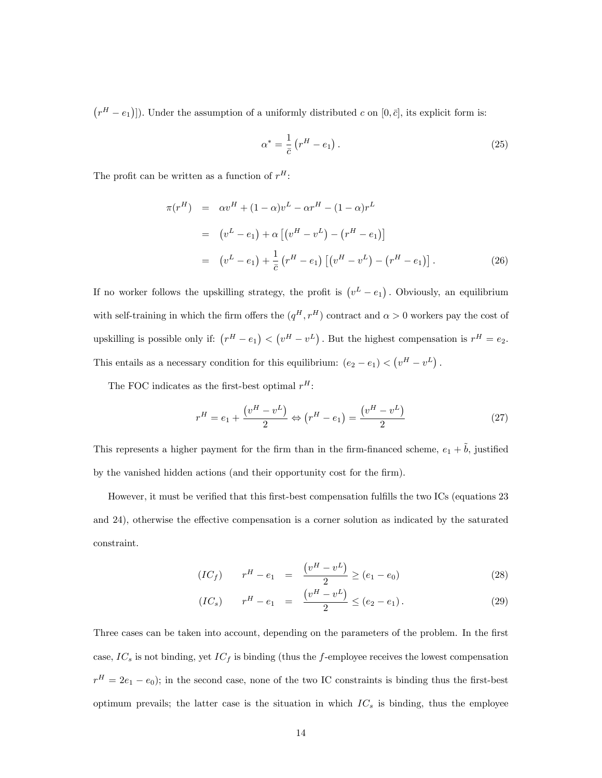$(r^H - e_1)$ ]). Under the assumption of a uniformly distributed c on  $[0, \bar{c}]$ , its explicit form is:

$$
\alpha^* = \frac{1}{\bar{c}} \left( r^H - e_1 \right). \tag{25}
$$

The profit can be written as a function of  $r^H$ :

$$
\pi(r^H) = \alpha v^H + (1 - \alpha)v^L - \alpha r^H - (1 - \alpha)r^L
$$
  
=  $(v^L - e_1) + \alpha [(v^H - v^L) - (r^H - e_1)]$   
=  $(v^L - e_1) + \frac{1}{\overline{c}} (r^H - e_1) [(v^H - v^L) - (r^H - e_1)].$  (26)

If no worker follows the upskilling strategy, the profit is  $(v^L - e_1)$ . Obviously, an equilibrium with self-training in which the firm offers the  $(q^H, r^H)$  contract and  $\alpha > 0$  workers pay the cost of upskilling is possible only if:  $(r^H - e_1) < (v^H - v^L)$ . But the highest compensation is  $r^H = e_2$ . This entails as a necessary condition for this equilibrium:  $(e_2 - e_1) < (v^H - v^L)$ .

The FOC indicates as the first-best optimal  $r^H$ :

$$
r^{H} = e_{1} + \frac{(v^{H} - v^{L})}{2} \Leftrightarrow (r^{H} - e_{1}) = \frac{(v^{H} - v^{L})}{2}
$$
\n(27)

This represents a higher payment for the firm than in the firm-financed scheme,  $e_1 + \tilde{b}$ , justified by the vanished hidden actions (and their opportunity cost for the firm).

However, it must be verified that this first-best compensation fulfills the two ICs (equations 23 and 24), otherwise the effective compensation is a corner solution as indicated by the saturated constraint.

$$
(IC_f) \t rH - e1 = \frac{(vH - vL)}{2} \ge (e1 - e0)
$$
\t(28)

$$
(IC_s) \t rH - e1 = \frac{(vH - vL)}{2} \le (e2 - e1). \t(29)
$$

Three cases can be taken into account, depending on the parameters of the problem. In the first case,  $IC_s$  is not binding, yet  $IC_f$  is binding (thus the f-employee receives the lowest compensation  $r<sup>H</sup> = 2e<sub>1</sub> - e<sub>0</sub>$ ; in the second case, none of the two IC constraints is binding thus the first-best optimum prevails; the latter case is the situation in which  $IC_s$  is binding, thus the employee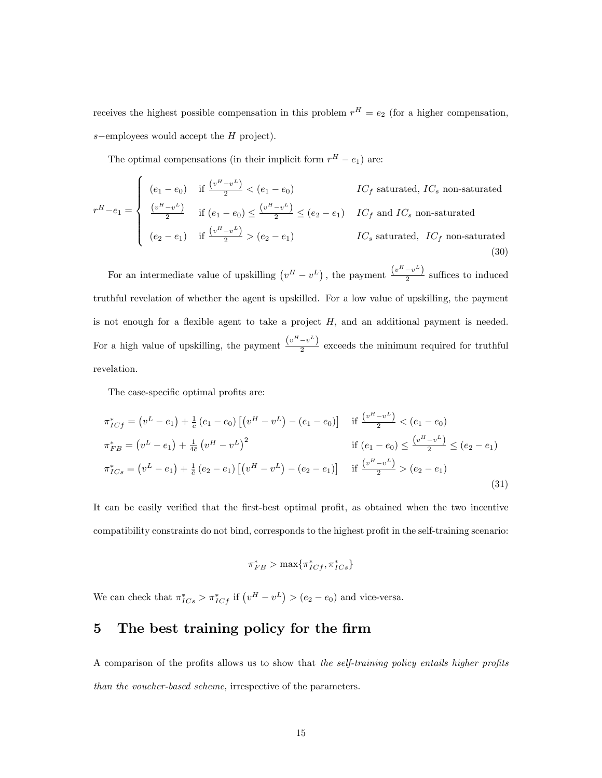receives the highest possible compensation in this problem  $r^H = e_2$  (for a higher compensation,  $s$ -employees would accept the  $H$  project).

The optimal compensations (in their implicit form  $r^H - e_1$ ) are:

$$
r^{H} - e_{1} = \begin{cases} (e_{1} - e_{0}) & \text{if } \frac{\left(v^{H} - v^{L}\right)}{2} < (e_{1} - e_{0}) & IC_{f} \text{ saturated, } IC_{s} \text{ non-saturated} \\ \frac{\left(v^{H} - v^{L}\right)}{2} & \text{if } (e_{1} - e_{0}) \leq \frac{\left(v^{H} - v^{L}\right)}{2} \leq (e_{2} - e_{1}) & IC_{f} \text{ and } IC_{s} \text{ non-saturated} \\ (e_{2} - e_{1}) & \text{if } \frac{\left(v^{H} - v^{L}\right)}{2} > (e_{2} - e_{1}) & IC_{s} \text{ saturated, } IC_{f} \text{ non-saturated} \end{cases}
$$
\n
$$
(30)
$$

For an intermediate value of upskilling  $(v^H - v^L)$ , the payment  $\frac{(v^H - v^L)}{2}$  $\frac{c}{2}$  suffices to induced truthful revelation of whether the agent is upskilled. For a low value of upskilling, the payment is not enough for a flexible agent to take a project  $H$ , and an additional payment is needed. For a high value of upskilling, the payment  $\frac{(v^H - v^L)}{2}$  $\frac{1}{2}$  exceeds the minimum required for truthful revelation.

The case-specific optimal profits are:

$$
\pi_{ICf}^* = (v^L - e_1) + \frac{1}{c} (e_1 - e_0) \left[ (v^H - v^L) - (e_1 - e_0) \right] \quad \text{if } \frac{(v^H - v^L)}{2} < (e_1 - e_0) \n\pi_{FB}^* = (v^L - e_1) + \frac{1}{4c} (v^H - v^L)^2 \quad \text{if } (e_1 - e_0) \le \frac{(v^H - v^L)}{2} \le (e_2 - e_1) \n\pi_{ICs}^* = (v^L - e_1) + \frac{1}{c} (e_2 - e_1) \left[ (v^H - v^L) - (e_2 - e_1) \right] \quad \text{if } \frac{(v^H - v^L)}{2} > (e_2 - e_1)
$$
\n(31)

It can be easily verified that the first-best optimal profit, as obtained when the two incentive compatibility constraints do not bind, corresponds to the highest profit in the self-training scenario:

$$
\pi_{FB}^* > \max\{\pi_{ICf}^*, \pi_{ICs}^*\}
$$

We can check that  $\pi^*_{ICS} > \pi^*_{ICf}$  if  $(v^H - v^L) > (e_2 - e_0)$  and vice-versa.

# 5 The best training policy for the firm

A comparison of the profits allows us to show that the self-training policy entails higher profits than the voucher-based scheme, irrespective of the parameters.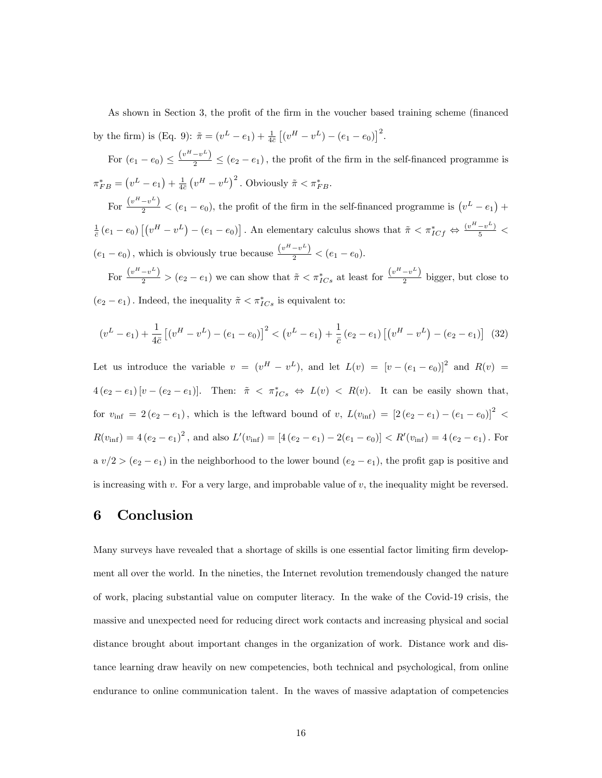As shown in Section 3, the profit of the firm in the voucher based training scheme (financed by the firm) is (Eq. 9):  $\tilde{\pi} = (v^L - e_1) + \frac{1}{4\bar{e}} \left[ (v^H - v^L) - (e_1 - e_0) \right]^2$ . For  $(e_1 - e_0) \leq \frac{(v^H - v^L)}{2} \leq (e_2 - e_1)$ , the profit of the firm in the self-financed programme is  $\pi^*_{FB} = (v^L - e_1) + \frac{1}{4\bar{c}} (v^H - v^L)^2$ . Obviously  $\tilde{\pi} < \pi^*_{FB}$ . For  $\frac{(v^H - v^L)}{2} < (e_1 - e_0)$ , the profit of the firm in the self-financed programme is  $(v^L - e_1)$  +

 $\frac{1}{c}(e_1-e_0)\left[\left(v^H-v^L\right)-\left(e_1-e_0\right)\right]$ . An elementary calculus shows that  $\tilde{\pi} < \pi^*_{ICf} \Leftrightarrow \frac{(v^H-v^L)}{5} <$  $(e_1 - e_0)$ , which is obviously true because  $\frac{(v^H - v^L)}{2} < (e_1 - e_0)$ .

For  $\frac{(v^H - v^L)}{2}$  >  $(e_2 - e_1)$  we can show that  $\tilde{\pi} < \pi^*_{ICS}$  at least for  $\frac{(v^H - v^L)}{2}$  $\frac{c}{2}$  bigger, but close to  $(e_2 - e_1)$ . Indeed, the inequality  $\tilde{\pi} < \pi^*_{ICs}$  is equivalent to:

$$
(v^L - e_1) + \frac{1}{4\bar{c}} \left[ (v^H - v^L) - (e_1 - e_0) \right]^2 < (v^L - e_1) + \frac{1}{\bar{c}} (e_2 - e_1) \left[ (v^H - v^L) - (e_2 - e_1) \right] \tag{32}
$$

Let us introduce the variable  $v = (v^H - v^L)$ , and let  $L(v) = [v - (e_1 - e_0)]^2$  and  $R(v) =$  $4(e_2-e_1)[v-(e_2-e_1)]$ . Then:  $\tilde{\pi} < \pi^*_{ICs} \Leftrightarrow L(v) < R(v)$ . It can be easily shown that, for  $v_{\text{inf}} = 2 (e_2 - e_1)$ , which is the leftward bound of v,  $L(v_{\text{inf}}) = [2 (e_2 - e_1) - (e_1 - e_0)]^2$  $R(v_{\text{inf}}) = 4(e_2 - e_1)^2$ , and also  $L'(v_{\text{inf}}) = [4(e_2 - e_1) - 2(e_1 - e_0)] < R'(v_{\text{inf}}) = 4(e_2 - e_1)$ . For a  $v/2 > (e_2 - e_1)$  in the neighborhood to the lower bound  $(e_2 - e_1)$ , the profit gap is positive and is increasing with v. For a very large, and improbable value of  $v$ , the inequality might be reversed.

## 6 Conclusion

Many surveys have revealed that a shortage of skills is one essential factor limiting firm development all over the world. In the nineties, the Internet revolution tremendously changed the nature of work, placing substantial value on computer literacy. In the wake of the Covid-19 crisis, the massive and unexpected need for reducing direct work contacts and increasing physical and social distance brought about important changes in the organization of work. Distance work and distance learning draw heavily on new competencies, both technical and psychological, from online endurance to online communication talent. In the waves of massive adaptation of competencies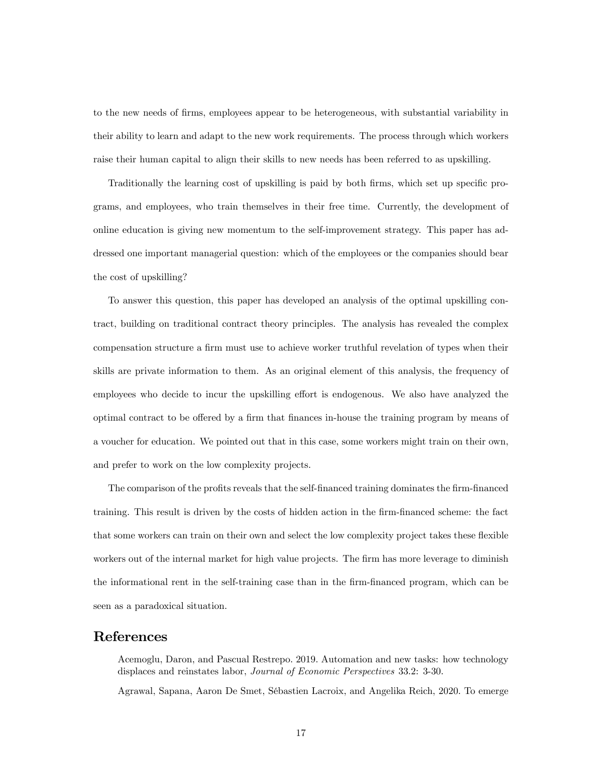to the new needs of firms, employees appear to be heterogeneous, with substantial variability in their ability to learn and adapt to the new work requirements. The process through which workers raise their human capital to align their skills to new needs has been referred to as upskilling.

Traditionally the learning cost of upskilling is paid by both firms, which set up specific programs, and employees, who train themselves in their free time. Currently, the development of online education is giving new momentum to the self-improvement strategy. This paper has addressed one important managerial question: which of the employees or the companies should bear the cost of upskilling?

To answer this question, this paper has developed an analysis of the optimal upskilling contract, building on traditional contract theory principles. The analysis has revealed the complex compensation structure a firm must use to achieve worker truthful revelation of types when their skills are private information to them. As an original element of this analysis, the frequency of employees who decide to incur the upskilling effort is endogenous. We also have analyzed the optimal contract to be offered by a firm that finances in-house the training program by means of a voucher for education. We pointed out that in this case, some workers might train on their own, and prefer to work on the low complexity projects.

The comparison of the profits reveals that the self-financed training dominates the firm-financed training. This result is driven by the costs of hidden action in the firm-financed scheme: the fact that some workers can train on their own and select the low complexity project takes these flexible workers out of the internal market for high value projects. The firm has more leverage to diminish the informational rent in the self-training case than in the firm-financed program, which can be seen as a paradoxical situation.

## References

Acemoglu, Daron, and Pascual Restrepo. 2019. Automation and new tasks: how technology displaces and reinstates labor, Journal of Economic Perspectives 33.2: 3-30.

Agrawal, Sapana, Aaron De Smet, SÈbastien Lacroix, and Angelika Reich, 2020. To emerge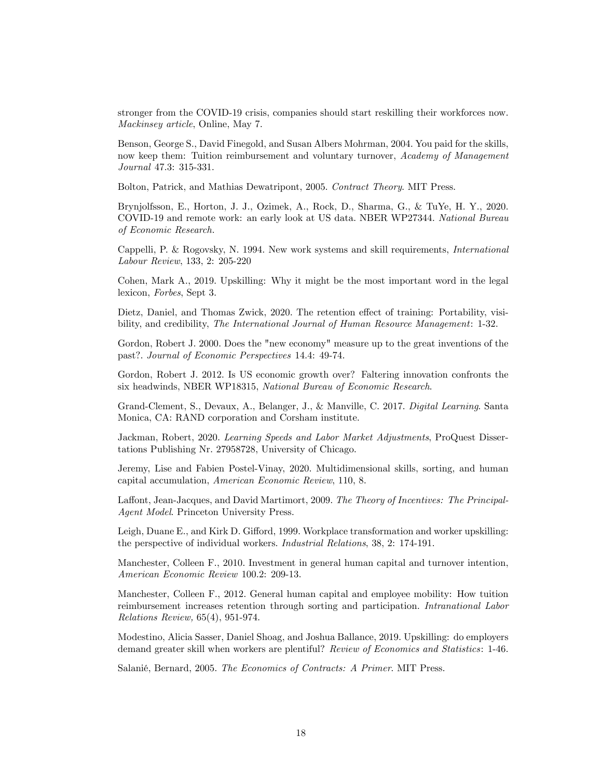stronger from the COVID-19 crisis, companies should start reskilling their workforces now. Mackinsey article, Online, May 7.

Benson, George S., David Finegold, and Susan Albers Mohrman, 2004. You paid for the skills, now keep them: Tuition reimbursement and voluntary turnover, Academy of Management Journal 47.3: 315-331.

Bolton, Patrick, and Mathias Dewatripont, 2005. Contract Theory. MIT Press.

Brynjolfsson, E., Horton, J. J., Ozimek, A., Rock, D., Sharma, G., & TuYe, H. Y., 2020. COVID-19 and remote work: an early look at US data. NBER WP27344. National Bureau of Economic Research.

Cappelli, P. & Rogovsky, N. 1994. New work systems and skill requirements, International Labour Review, 133, 2: 205-220

Cohen, Mark A., 2019. Upskilling: Why it might be the most important word in the legal lexicon, Forbes, Sept 3.

Dietz, Daniel, and Thomas Zwick, 2020. The retention effect of training: Portability, visibility, and credibility, The International Journal of Human Resource Management: 1-32.

Gordon, Robert J. 2000. Does the "new economy" measure up to the great inventions of the past?. Journal of Economic Perspectives 14.4: 49-74.

Gordon, Robert J. 2012. Is US economic growth over? Faltering innovation confronts the six headwinds, NBER WP18315, National Bureau of Economic Research.

Grand-Clement, S., Devaux, A., Belanger, J., & Manville, C. 2017. Digital Learning. Santa Monica, CA: RAND corporation and Corsham institute.

Jackman, Robert, 2020. Learning Speeds and Labor Market Adjustments, ProQuest Dissertations Publishing Nr. 27958728, University of Chicago.

Jeremy, Lise and Fabien Postel-Vinay, 2020. Multidimensional skills, sorting, and human capital accumulation, American Economic Review, 110, 8.

Laffont, Jean-Jacques, and David Martimort, 2009. The Theory of Incentives: The Principal-Agent Model. Princeton University Press.

Leigh, Duane E., and Kirk D. Gifford, 1999. Workplace transformation and worker upskilling: the perspective of individual workers. Industrial Relations, 38, 2: 174-191.

Manchester, Colleen F., 2010. Investment in general human capital and turnover intention, American Economic Review 100.2: 209-13.

Manchester, Colleen F., 2012. General human capital and employee mobility: How tuition reimbursement increases retention through sorting and participation. Intranational Labor Relations Review, 65(4), 951-974.

Modestino, Alicia Sasser, Daniel Shoag, and Joshua Ballance, 2019. Upskilling: do employers demand greater skill when workers are plentiful? Review of Economics and Statistics: 1-46.

Salanié, Bernard, 2005. The Economics of Contracts: A Primer. MIT Press.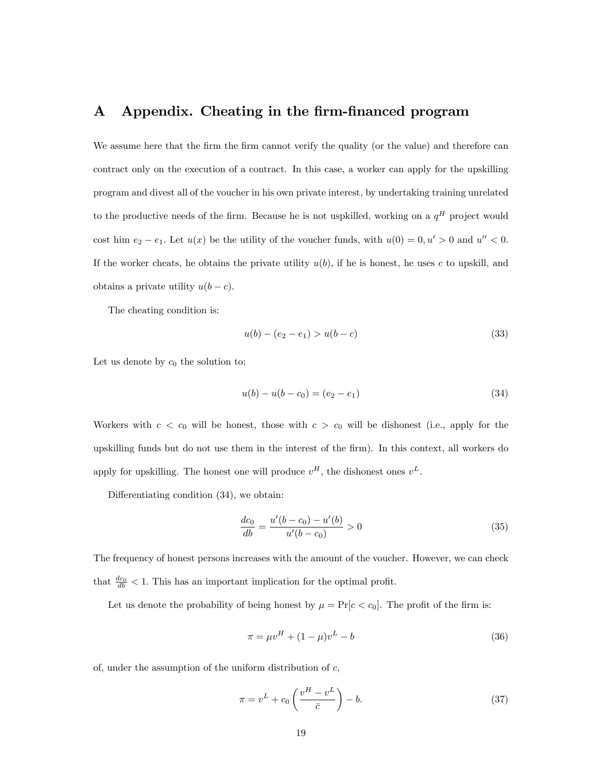## A Appendix. Cheating in the firm-financed program

We assume here that the firm the firm cannot verify the quality (or the value) and therefore can contract only on the execution of a contract. In this case, a worker can apply for the upskilling program and divest all of the voucher in his own private interest, by undertaking training unrelated to the productive needs of the firm. Because he is not uspkilled, working on a  $q^H$  project would cost him  $e_2 - e_1$ . Let  $u(x)$  be the utility of the voucher funds, with  $u(0) = 0, u' > 0$  and  $u'' < 0$ . If the worker cheats, he obtains the private utility  $u(b)$ , if he is honest, he uses c to upskill, and obtains a private utility  $u(b - c)$ .

The cheating condition is:

$$
u(b) - (e_2 - e_1) > u(b - c) \tag{33}
$$

Let us denote by  $c_0$  the solution to;

$$
u(b) - u(b - c_0) = (e_2 - e_1)
$$
\n(34)

Workers with  $c < c_0$  will be honest, those with  $c > c_0$  will be dishonest (i.e., apply for the upskilling funds but do not use them in the interest of the Örm). In this context, all workers do apply for upskilling. The honest one will produce  $v^H$ , the dishonest ones  $v^L$ .

Differentiating condition  $(34)$ , we obtain:

$$
\frac{dc_0}{db} = \frac{u'(b - c_0) - u'(b)}{u'(b - c_0)} > 0
$$
\n(35)

The frequency of honest persons increases with the amount of the voucher. However, we can check that  $\frac{dc_0}{db} < 1$ . This has an important implication for the optimal profit.

Let us denote the probability of being honest by  $\mu = \Pr[c < c_0]$ . The profit of the firm is:

$$
\pi = \mu v^H + (1 - \mu)v^L - b \tag{36}
$$

of, under the assumption of the uniform distribution of  $c$ ,

$$
\pi = v^L + c_0 \left( \frac{v^H - v^L}{\bar{c}} \right) - b. \tag{37}
$$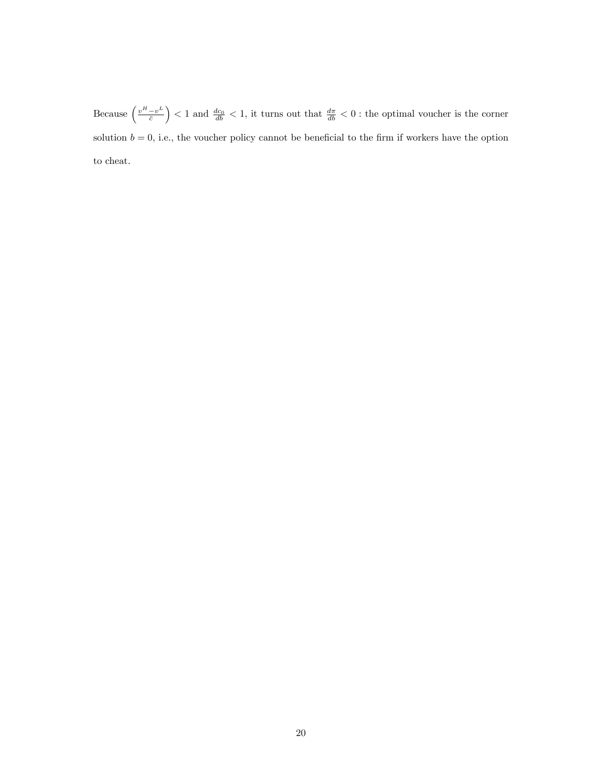Because  $\left(\frac{v^H - v^L}{\bar{c}}\right)$  $\bar{c}$  $\left( \frac{d}{db} \right)$  < 1 and  $\frac{d}{db}$  < 1, it turns out that  $\frac{d\pi}{db}$  < 0 : the optimal voucher is the corner solution  $b = 0$ , i.e., the voucher policy cannot be beneficial to the firm if workers have the option to cheat.